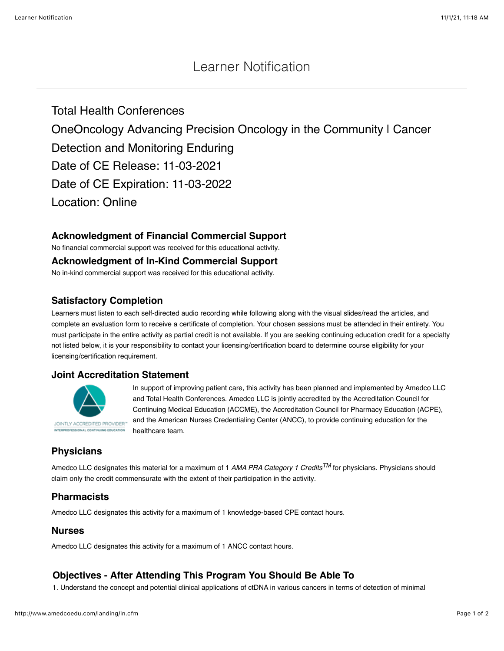# Learner Notification

Total Health Conferences OneOncology Advancing Precision Oncology in the Community | Cancer Detection and Monitoring Enduring Date of CE Release: 11-03-2021 Date of CE Expiration: 11-03-2022 Location: Online

## **Acknowledgment of Financial Commercial Support**

No financial commercial support was received for this educational activity.

**Acknowledgment of In-Kind Commercial Support**

No in-kind commercial support was received for this educational activity.

## **Satisfactory Completion**

Learners must listen to each self-directed audio recording while following along with the visual slides/read the articles, and complete an evaluation form to receive a certificate of completion. Your chosen sessions must be attended in their entirety. You must participate in the entire activity as partial credit is not available. If you are seeking continuing education credit for a specialty not listed below, it is your responsibility to contact your licensing/certification board to determine course eligibility for your licensing/certification requirement.

## **Joint Accreditation Statement**



FESSIONAL CONTINUING EDUCATION

In support of improving patient care, this activity has been planned and implemented by Amedco LLC and Total Health Conferences. Amedco LLC is jointly accredited by the Accreditation Council for Continuing Medical Education (ACCME), the Accreditation Council for Pharmacy Education (ACPE), and the American Nurses Credentialing Center (ANCC), to provide continuing education for the healthcare team.

## **Physicians**

Amedco LLC designates this material for a maximum of 1 *AMA PRA Category 1 CreditsTM* for physicians. Physicians should claim only the credit commensurate with the extent of their participation in the activity.

## **Pharmacists**

Amedco LLC designates this activity for a maximum of 1 knowledge-based CPE contact hours.

#### **Nurses**

Amedco LLC designates this activity for a maximum of 1 ANCC contact hours.

## **Objectives - After Attending This Program You Should Be Able To**

1. Understand the concept and potential clinical applications of ctDNA in various cancers in terms of detection of minimal